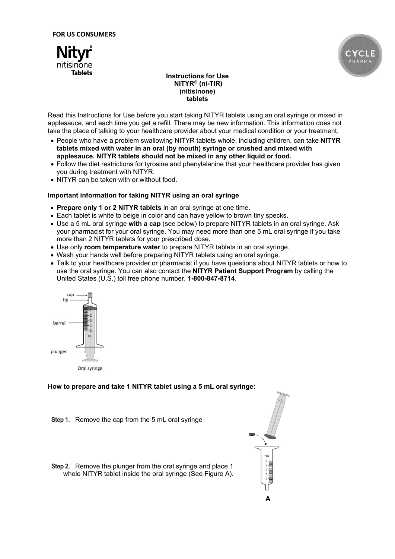



## **Instructions for Use NITYR**® **(ni-TIR) (nitisinone) tablets**

Read this Instructions for Use before you start taking NITYR tablets using an oral syringe or mixed in applesauce, and each time you get a refill. There may be new information. This information does not take the place of talking to your healthcare provider about your medical condition or your treatment.

- People who have a problem swallowing NITYR tablets whole, including children, can take **NITYR tablets mixed with water in an oral (by mouth) syringe or crushed and mixed with applesauce. NITYR tablets should not be mixed in any other liquid or food.**
- Follow the diet restrictions for tyrosine and phenylalanine that your healthcare provider has given you during treatment with NITYR.
- NITYR can be taken with or without food.

## **Important information for taking NITYR using an oral syringe**

- **Prepare only 1 or 2 NITYR tablets** in an oral syringe at one time.
- Each tablet is white to beige in color and can have yellow to brown tiny specks.
- Use a 5 mL oral syringe **with a cap** (see below) to prepare NITYR tablets in an oral syringe. Ask your pharmacist for your oral syringe. You may need more than one 5 mL oral syringe if you take more than 2 NITYR tablets for your prescribed dose.
- Use only **room temperature water** to prepare NITYR tablets in an oral syringe.
- Wash your hands well before preparing NITYR tablets using an oral syringe.
- Talk to your healthcare provider or pharmacist if you have questions about NITYR tablets or how to use the oral syringe. You can also contact the **NITYR Patient Support Program** by calling the United States (U.S.) toll free phone number, **1-800-847-8714**.



# **How to prepare and take 1 NITYR tablet using a 5 mL oral syringe:**

- **Step 1.** Remove the cap from the 5 mL oral syringe
- **Step 2.** Remove the plunger from the oral syringe and place 1 whole NITYR tablet inside the oral syringe (See Figure A).

$$
\begin{array}{c}\n\mathbf{a} \\
\mathbf{b} \\
\mathbf{c}\n\end{array}
$$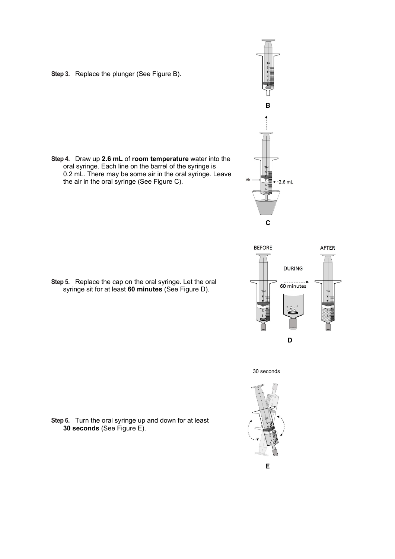**Step 3.** Replace the plunger (See Figure B).











**Step 6.** Turn the oral syringe up and down for at least **30 seconds** (See Figure E).

**Step 5.** Replace the cap on the oral syringe. Let the oral syringe sit for at least **60 minutes** (See Figure D).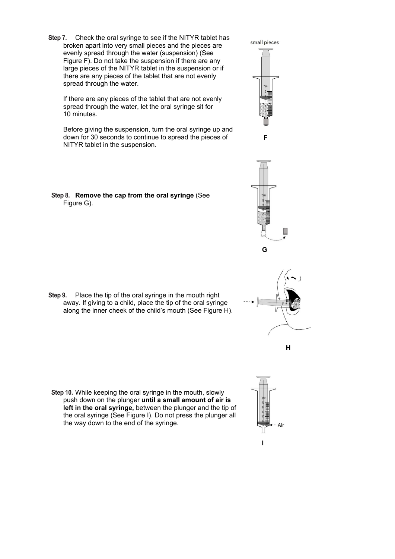**Step 7.** Check the oral syringe to see if the NITYR tablet has broken apart into very small pieces and the pieces are evenly spread through the water (suspension) (See Figure F). Do not take the suspension if there are any large pieces of the NITYR tablet in the suspension or if there are any pieces of the tablet that are not evenly spread through the water.

If there are any pieces of the tablet that are not evenly spread through the water, let the oral syringe sit for 10 minutes.

Before giving the suspension, turn the oral syringe up and down for 30 seconds to continue to spread the pieces of NITYR tablet in the suspension.

**Step 8. Remove the cap from the oral syringe** (See Figure G).

**Step 9.** Place the tip of the oral syringe in the mouth right away. If giving to a child, place the tip of the oral syringe along the inner cheek of the child's mouth (See Figure H).

**Step 10.** While keeping the oral syringe in the mouth, slowly push down on the plunger **until a small amount of air is left in the oral syringe,** between the plunger and the tip of the oral syringe (See Figure I). Do not press the plunger all the way down to the end of the syringe.







 **H**



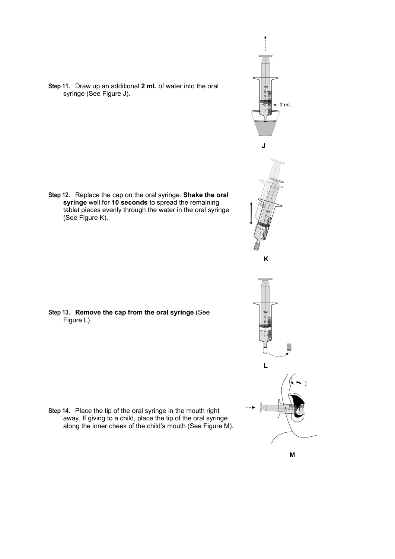$-2$  mL

 **J**



**Step 12.** Replace the cap on the oral syringe. **Shake the oral syringe** well for **10 seconds** to spread the remaining tablet pieces evenly through the water in the oral syringe (See Figure K).

**Step 11.** Draw up an additional **2 mL** of water into the oral

syringe (See Figure J).

**Step 13. Remove the cap from the oral syringe** (See Figure L).





 $\Box$ 

 **L**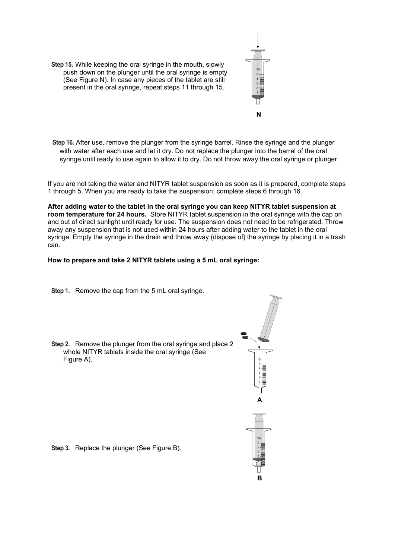**Step 15.** While keeping the oral syringe in the mouth, slowly push down on the plunger until the oral syringe is empty (See Figure N). In case any pieces of the tablet are still present in the oral syringe, repeat steps 11 through 15.



**Step 16.** After use, remove the plunger from the syringe barrel. Rinse the syringe and the plunger with water after each use and let it dry. Do not replace the plunger into the barrel of the oral syringe until ready to use again to allow it to dry. Do not throw away the oral syringe or plunger.

If you are not taking the water and NITYR tablet suspension as soon as it is prepared, complete steps 1 through 5. When you are ready to take the suspension, complete steps 6 through 16.

**After adding water to the tablet in the oral syringe you can keep NITYR tablet suspension at room temperature for 24 hours.** Store NITYR tablet suspension in the oral syringe with the cap on and out of direct sunlight until ready for use. The suspension does not need to be refrigerated. Throw away any suspension that is not used within 24 hours after adding water to the tablet in the oral syringe. Empty the syringe in the drain and throw away (dispose of) the syringe by placing it in a trash can.

## **How to prepare and take 2 NITYR tablets using a 5 mL oral syringe:**

- **Step 1.** Remove the cap from the 5 mL oral syringe.
- **Step 2.** Remove the plunger from the oral syringe and place 2 whole NITYR tablets inside the oral syringe (See Figure A).



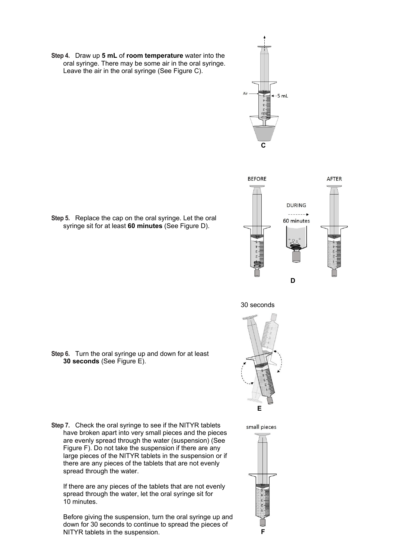**Step 4.** Draw up **5 mL** of **room temperature** water into the oral syringe. There may be some air in the oral syringe. Leave the air in the oral syringe (See Figure C).





**Step 5.** Replace the cap on the oral syringe. Let the oral syringe sit for at least **60 minutes** (See Figure D).

30 seconds



**Step 6.** Turn the oral syringe up and down for at least **30 seconds** (See Figure E).

**Step 7.** Check the oral syringe to see if the NITYR tablets have broken apart into very small pieces and the pieces are evenly spread through the water (suspension) (See Figure F). Do not take the suspension if there are any large pieces of the NITYR tablets in the suspension or if there are any pieces of the tablets that are not evenly spread through the water.

If there are any pieces of the tablets that are not evenly spread through the water, let the oral syringe sit for 10 minutes.

Before giving the suspension, turn the oral syringe up and down for 30 seconds to continue to spread the pieces of NITYR tablets in the suspension. **F**

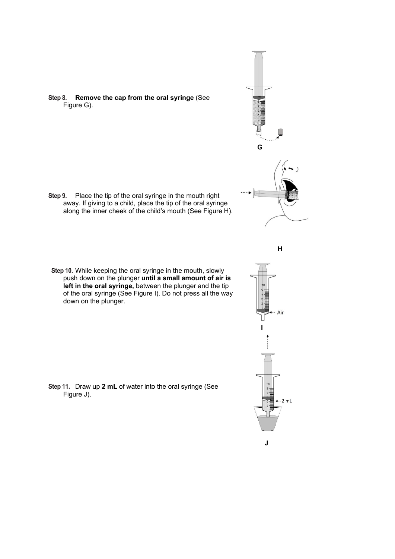**Step 8. Remove the cap from the oral syringe** (See Figure G).

- **Step 9.** Place the tip of the oral syringe in the mouth right away. If giving to a child, place the tip of the oral syringe along the inner cheek of the child's mouth (See Figure H).
- **Step 10.** While keeping the oral syringe in the mouth, slowly push down on the plunger **until a small amount of air is left in the oral syringe,** between the plunger and the tip of the oral syringe (See Figure I). Do not press all the way down on the plunger.

**Step 11.** Draw up **2 mL** of water into the oral syringe (See Figure J).



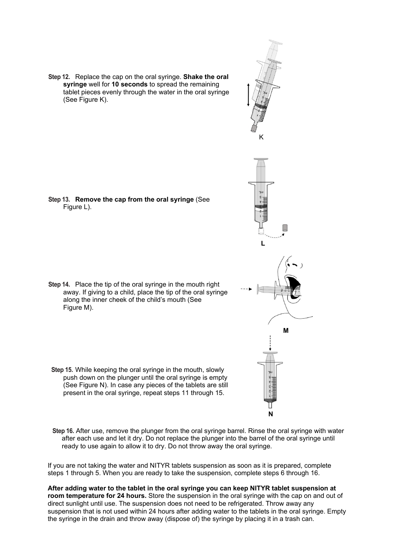**Step 12.** Replace the cap on the oral syringe. **Shake the oral syringe** well for **10 seconds** to spread the remaining tablet pieces evenly through the water in the oral syringe (See Figure K).

**Step 13. Remove the cap from the oral syringe** (See Figure L).

**Step 14.** Place the tip of the oral syringe in the mouth right away. If giving to a child, place the tip of the oral syringe along the inner cheek of the child's mouth (See Figure M).

**Step 15.** While keeping the oral syringe in the mouth, slowly push down on the plunger until the oral syringe is empty (See Figure N). In case any pieces of the tablets are still present in the oral syringe, repeat steps 11 through 15.

- **<sup>N</sup>**
- **Step 16.** After use, remove the plunger from the oral syringe barrel. Rinse the oral syringe with water after each use and let it dry. Do not replace the plunger into the barrel of the oral syringe until ready to use again to allow it to dry. Do not throw away the oral syringe.

If you are not taking the water and NITYR tablets suspension as soon as it is prepared, complete steps 1 through 5. When you are ready to take the suspension, complete steps 6 through 16.

**After adding water to the tablet in the oral syringe you can keep NITYR tablet suspension at room temperature for 24 hours.** Store the suspension in the oral syringe with the cap on and out of direct sunlight until use. The suspension does not need to be refrigerated. Throw away any suspension that is not used within 24 hours after adding water to the tablets in the oral syringe. Empty the syringe in the drain and throw away (dispose of) the syringe by placing it in a trash can.

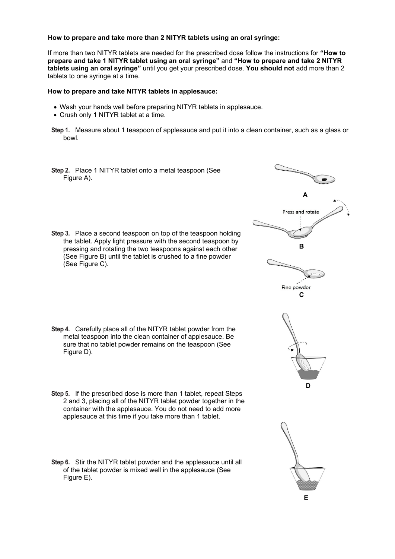**How to prepare and take more than 2 NITYR tablets using an oral syringe:**

If more than two NITYR tablets are needed for the prescribed dose follow the instructions for **"How to prepare and take 1 NITYR tablet using an oral syringe"** and **"How to prepare and take 2 NITYR tablets using an oral syringe"** until you get your prescribed dose. **You should not** add more than 2 tablets to one syringe at a time.

#### **How to prepare and take NITYR tablets in applesauce:**

- Wash your hands well before preparing NITYR tablets in applesauce.
- Crush only 1 NITYR tablet at a time.
- **Step 1.** Measure about 1 teaspoon of applesauce and put it into a clean container, such as a glass or bowl.
- **Step 2.** Place 1 NITYR tablet onto a metal teaspoon (See Figure A).
- **Step 3.** Place a second teaspoon on top of the teaspoon holding the tablet. Apply light pressure with the second teaspoon by pressing and rotating the two teaspoons against each other (See Figure B) until the tablet is crushed to a fine powder (See Figure C).

- **Step 4.** Carefully place all of the NITYR tablet powder from the metal teaspoon into the clean container of applesauce. Be sure that no tablet powder remains on the teaspoon (See Figure D).
- **Step 5.** If the prescribed dose is more than 1 tablet, repeat Steps 2 and 3, placing all of the NITYR tablet powder together in the container with the applesauce. You do not need to add more applesauce at this time if you take more than 1 tablet.
- **Step 6.** Stir the NITYR tablet powder and the applesauce until all of the tablet powder is mixed well in the applesauce (See Figure E).

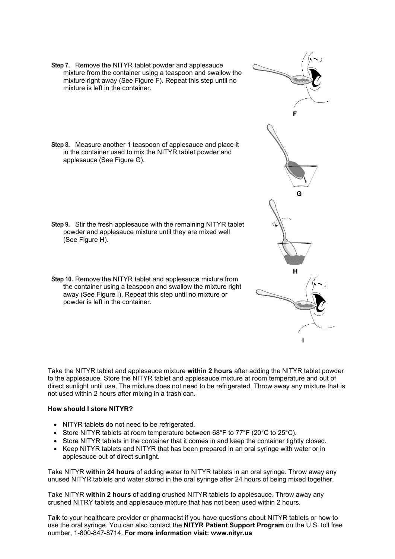- **Step 7.** Remove the NITYR tablet powder and applesauce mixture from the container using a teaspoon and swallow the mixture right away (See Figure F). Repeat this step until no mixture is left in the container.
- **Step 8.** Measure another 1 teaspoon of applesauce and place it in the container used to mix the NITYR tablet powder and applesauce (See Figure G).

- **Step 9.** Stir the fresh applesauce with the remaining NITYR tablet powder and applesauce mixture until they are mixed well (See Figure H).
- **Step 10.** Remove the NITYR tablet and applesauce mixture from the container using a teaspoon and swallow the mixture right away (See Figure I). Repeat this step until no mixture or powder is left in the container.

Take the NITYR tablet and applesauce mixture **within 2 hours** after adding the NITYR tablet powder to the applesauce. Store the NITYR tablet and applesauce mixture at room temperature and out of direct sunlight until use. The mixture does not need to be refrigerated. Throw away any mixture that is not used within 2 hours after mixing in a trash can.

#### **How should I store NITYR?**

- NITYR tablets do not need to be refrigerated.
- Store NITYR tablets at room temperature between 68°F to 77°F (20°C to 25°C).
- Store NITYR tablets in the container that it comes in and keep the container tightly closed.
- Keep NITYR tablets and NITYR that has been prepared in an oral syringe with water or in applesauce out of direct sunlight.

Take NITYR **within 24 hours** of adding water to NITYR tablets in an oral syringe. Throw away any unused NITYR tablets and water stored in the oral syringe after 24 hours of being mixed together.

Take NITYR **within 2 hours** of adding crushed NITYR tablets to applesauce. Throw away any crushed NITRY tablets and applesauce mixture that has not been used within 2 hours.

Talk to your healthcare provider or pharmacist if you have questions about NITYR tablets or how to use the oral syringe. You can also contact the **NITYR Patient Support Program** on the U.S. toll free number, 1-800-847-8714. **For more information visit: www.nityr.us**